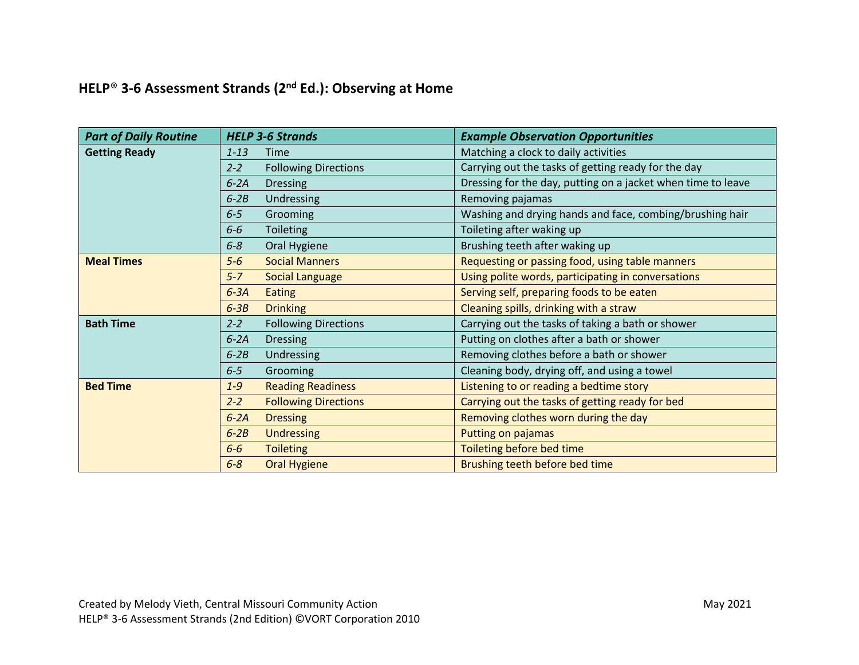## **HELP**® **3-6 Assessment Strands (2nd Ed.): Observing at Home**

| <b>Part of Daily Routine</b> | <b>HELP 3-6 Strands</b>                | <b>Example Observation Opportunities</b>                     |
|------------------------------|----------------------------------------|--------------------------------------------------------------|
| <b>Getting Ready</b>         | $1 - 13$<br>Time                       | Matching a clock to daily activities                         |
|                              | $2 - 2$<br><b>Following Directions</b> | Carrying out the tasks of getting ready for the day          |
|                              | $6-2A$<br><b>Dressing</b>              | Dressing for the day, putting on a jacket when time to leave |
|                              | $6-2B$<br>Undressing                   | Removing pajamas                                             |
|                              | $6 - 5$<br>Grooming                    | Washing and drying hands and face, combing/brushing hair     |
|                              | $6-6$<br><b>Toileting</b>              | Toileting after waking up                                    |
|                              | $6 - 8$<br>Oral Hygiene                | Brushing teeth after waking up                               |
| <b>Meal Times</b>            | <b>Social Manners</b><br>$5-6$         | Requesting or passing food, using table manners              |
|                              | $5 - 7$<br><b>Social Language</b>      | Using polite words, participating in conversations           |
|                              | $6-3A$<br><b>Eating</b>                | Serving self, preparing foods to be eaten                    |
|                              | <b>Drinking</b><br>$6-3B$              | Cleaning spills, drinking with a straw                       |
| <b>Bath Time</b>             | $2 - 2$<br><b>Following Directions</b> | Carrying out the tasks of taking a bath or shower            |
|                              | $6-2A$<br><b>Dressing</b>              | Putting on clothes after a bath or shower                    |
|                              | Undressing<br>$6-2B$                   | Removing clothes before a bath or shower                     |
|                              | $6 - 5$<br>Grooming                    | Cleaning body, drying off, and using a towel                 |
| <b>Bed Time</b>              | <b>Reading Readiness</b><br>$1-9$      | Listening to or reading a bedtime story                      |
|                              | <b>Following Directions</b><br>$2 - 2$ | Carrying out the tasks of getting ready for bed              |
|                              | $6-2A$<br><b>Dressing</b>              | Removing clothes worn during the day                         |
|                              | $6-2B$<br><b>Undressing</b>            | Putting on pajamas                                           |
|                              | $6-6$<br><b>Toileting</b>              | Toileting before bed time                                    |
|                              | $6 - 8$<br><b>Oral Hygiene</b>         | Brushing teeth before bed time                               |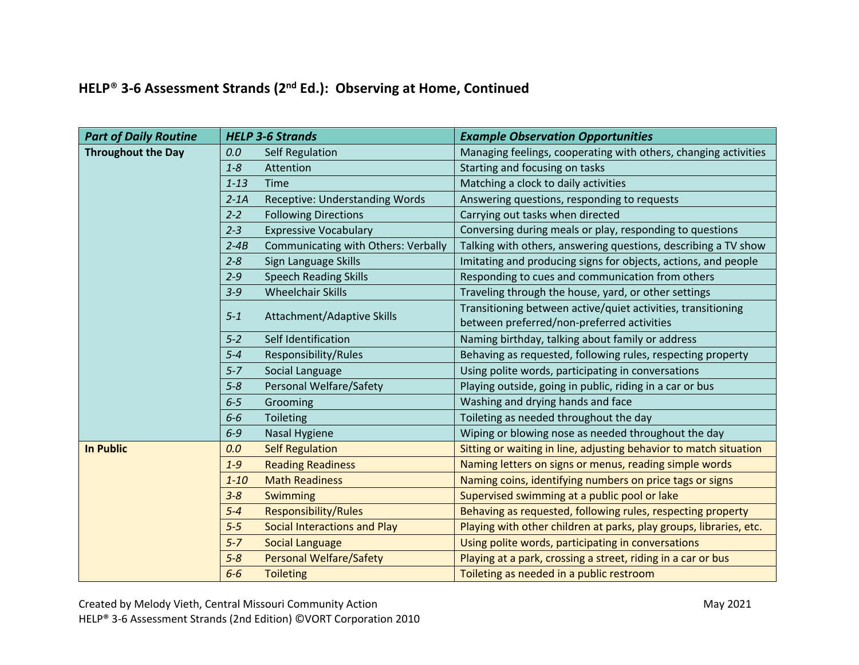## **HELP**® **3-6 Assessment Strands (2nd Ed.): Observing at Home, Continued**

| <b>Part of Daily Routine</b> | <b>HELP 3-6 Strands</b> |                                       | <b>Example Observation Opportunities</b>                                                                   |
|------------------------------|-------------------------|---------------------------------------|------------------------------------------------------------------------------------------------------------|
| <b>Throughout the Day</b>    | 0.0                     | <b>Self Regulation</b>                | Managing feelings, cooperating with others, changing activities                                            |
|                              | $1 - 8$                 | Attention                             | Starting and focusing on tasks                                                                             |
|                              | $1 - 13$                | <b>Time</b>                           | Matching a clock to daily activities                                                                       |
|                              | $2 - 1A$                | <b>Receptive: Understanding Words</b> | Answering questions, responding to requests                                                                |
|                              | $2 - 2$                 | <b>Following Directions</b>           | Carrying out tasks when directed                                                                           |
|                              | $2 - 3$                 | <b>Expressive Vocabulary</b>          | Conversing during meals or play, responding to questions                                                   |
|                              | $2 - 4B$                | Communicating with Others: Verbally   | Talking with others, answering questions, describing a TV show                                             |
|                              | $2 - 8$                 | Sign Language Skills                  | Imitating and producing signs for objects, actions, and people                                             |
|                              | $2 - 9$                 | <b>Speech Reading Skills</b>          | Responding to cues and communication from others                                                           |
|                              | $3 - 9$                 | <b>Wheelchair Skills</b>              | Traveling through the house, yard, or other settings                                                       |
|                              | $5 - 1$                 | Attachment/Adaptive Skills            | Transitioning between active/quiet activities, transitioning<br>between preferred/non-preferred activities |
|                              | $5 - 2$                 | Self Identification                   | Naming birthday, talking about family or address                                                           |
|                              | $5 - 4$                 | Responsibility/Rules                  | Behaving as requested, following rules, respecting property                                                |
|                              | $5 - 7$                 | Social Language                       | Using polite words, participating in conversations                                                         |
|                              | $5 - 8$                 | Personal Welfare/Safety               | Playing outside, going in public, riding in a car or bus                                                   |
|                              | $6 - 5$                 | Grooming                              | Washing and drying hands and face                                                                          |
|                              | $6-6$                   | Toileting                             | Toileting as needed throughout the day                                                                     |
|                              | $6 - 9$                 | <b>Nasal Hygiene</b>                  | Wiping or blowing nose as needed throughout the day                                                        |
| <b>In Public</b>             | 0.0                     | <b>Self Regulation</b>                | Sitting or waiting in line, adjusting behavior to match situation                                          |
|                              | $1 - 9$                 | <b>Reading Readiness</b>              | Naming letters on signs or menus, reading simple words                                                     |
|                              | $1 - 10$                | <b>Math Readiness</b>                 | Naming coins, identifying numbers on price tags or signs                                                   |
|                              | $3 - 8$                 | Swimming                              | Supervised swimming at a public pool or lake                                                               |
|                              | $5 - 4$                 | <b>Responsibility/Rules</b>           | Behaving as requested, following rules, respecting property                                                |
|                              | $5 - 5$                 | <b>Social Interactions and Play</b>   | Playing with other children at parks, play groups, libraries, etc.                                         |
|                              | $5 - 7$                 | <b>Social Language</b>                | Using polite words, participating in conversations                                                         |
|                              | $5 - 8$                 | <b>Personal Welfare/Safety</b>        | Playing at a park, crossing a street, riding in a car or bus                                               |
|                              | $6-6$                   | <b>Toileting</b>                      | Toileting as needed in a public restroom                                                                   |